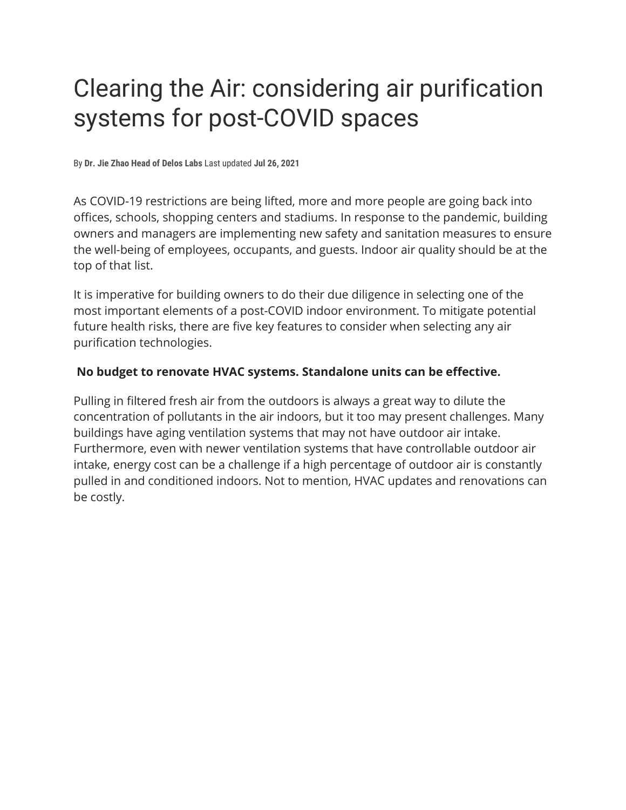# Clearing the Air: considering air purification systems for post-COVID spaces

By **Dr. Jie Zhao Head of Delos Labs** Last updated **Jul 26, 2021**

As COVID-19 restrictions are being lifted, more and more people are going back into offices, schools, shopping centers and stadiums. In response to the pandemic, building owners and managers are implementing new safety and sanitation measures to ensure the well-being of employees, occupants, and guests. Indoor air quality should be at the top of that list.

It is imperative for building owners to do their due diligence in selecting one of the most important elements of a post-COVID indoor environment. To mitigate potential future health risks, there are five key features to consider when selecting any air purification technologies.

#### **No budget to renovate HVAC systems. Standalone units can be effective.**

Pulling in filtered fresh air from the outdoors is always a great way to dilute the concentration of pollutants in the air indoors, but it too may present challenges. Many buildings have aging ventilation systems that may not have outdoor air intake. Furthermore, even with newer ventilation systems that have controllable outdoor air intake, energy cost can be a challenge if a high percentage of outdoor air is constantly pulled in and conditioned indoors. Not to mention, HVAC updates and renovations can be costly.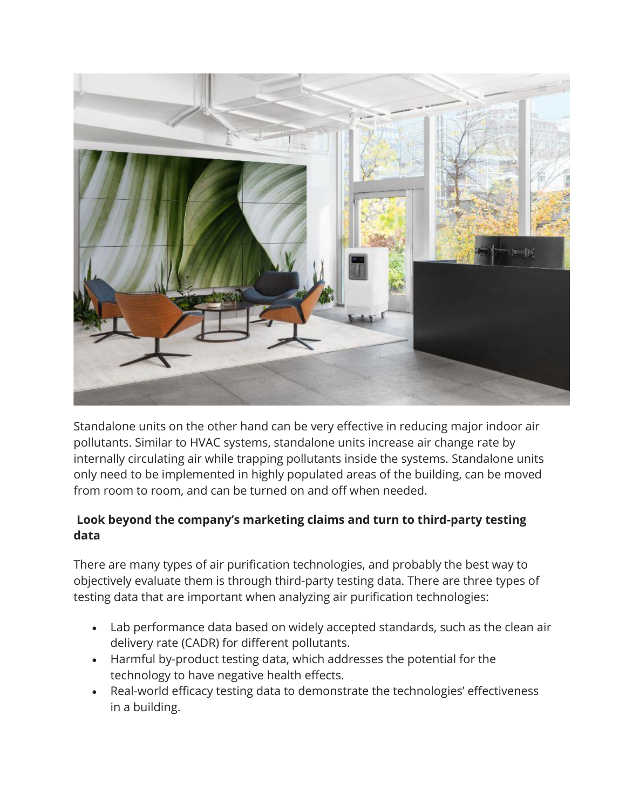

Standalone units on the other hand can be very effective in reducing major indoor air pollutants. Similar to HVAC systems, standalone units increase air change rate by internally circulating air while trapping pollutants inside the systems. Standalone units only need to be implemented in highly populated areas of the building, can be moved from room to room, and can be turned on and off when needed.

# **Look beyond the company's marketing claims and turn to third-party testing data**

There are many types of air purification technologies, and probably the best way to objectively evaluate them is through third-party testing data. There are three types of testing data that are important when analyzing air purification technologies:

- Lab performance data based on widely accepted standards, such as the clean air delivery rate (CADR) for different pollutants.
- Harmful by-product testing data, which addresses the potential for the technology to have negative health effects.
- Real-world efficacy testing data to demonstrate the technologies' effectiveness in a building.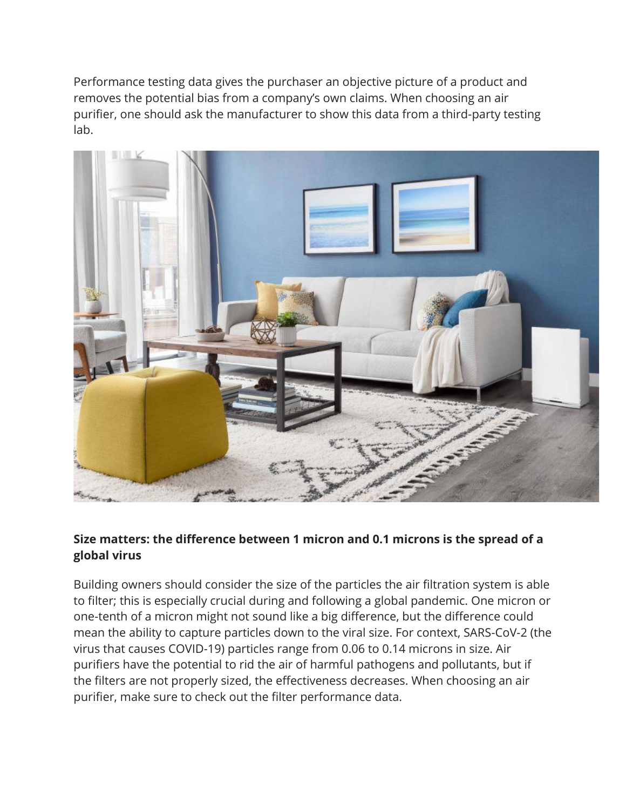Performance testing data gives the purchaser an objective picture of a product and removes the potential bias from a company's own claims. When choosing an air purifier, one should ask the manufacturer to show this data from a third-party testing lab.



# **Size matters: the difference between 1 micron and 0.1 microns is the spread of a global virus**

Building owners should consider the size of the particles the air filtration system is able to filter; this is especially crucial during and following a global pandemic. One micron or one-tenth of a micron might not sound like a big difference, but the difference could mean the ability to capture particles down to the viral size. For context, SARS-CoV-2 (the virus that causes COVID-19) particles range from 0.06 to 0.14 microns in size. Air purifiers have the potential to rid the air of harmful pathogens and pollutants, but if the filters are not properly sized, the effectiveness decreases. When choosing an air purifier, make sure to check out the filter performance data.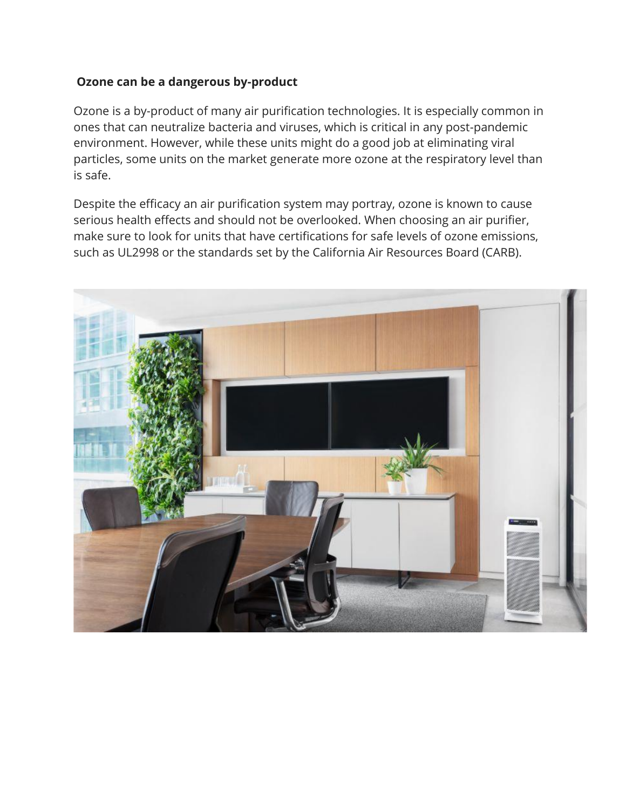### **Ozone can be a dangerous by-product**

Ozone is a by-product of many air purification technologies. It is especially common in ones that can neutralize bacteria and viruses, which is critical in any post-pandemic environment. However, while these units might do a good job at eliminating viral particles, some units on the market generate more ozone at the respiratory level than is safe.

Despite the efficacy an air purification system may portray, ozone is known to cause serious health effects and should not be overlooked. When choosing an air purifier, make sure to look for units that have certifications for safe levels of ozone emissions, such as UL2998 or the standards set by the California Air Resources Board (CARB).

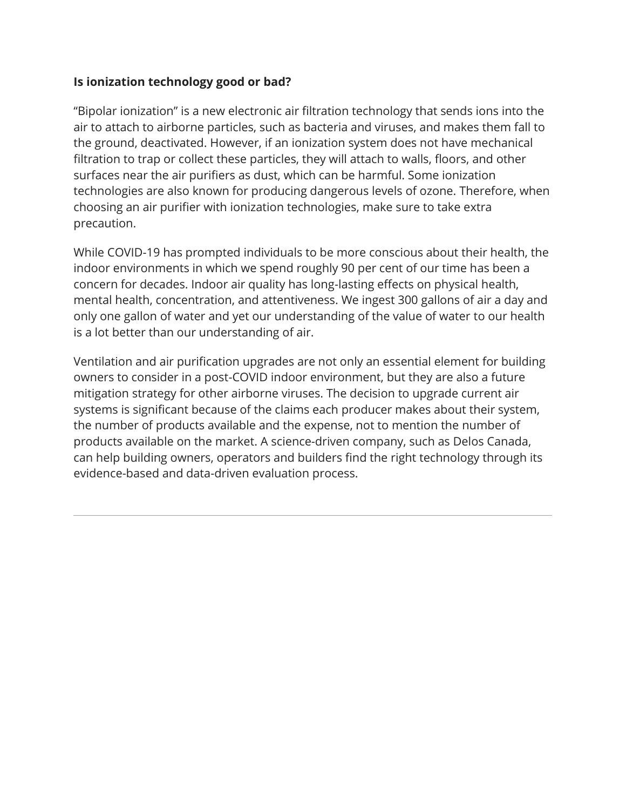### **Is ionization technology good or bad?**

"Bipolar ionization" is a new electronic air filtration technology that sends ions into the air to attach to airborne particles, such as bacteria and viruses, and makes them fall to the ground, deactivated. However, if an ionization system does not have mechanical filtration to trap or collect these particles, they will attach to walls, floors, and other surfaces near the air purifiers as dust, which can be harmful. Some ionization technologies are also known for producing dangerous levels of ozone. Therefore, when choosing an air purifier with ionization technologies, make sure to take extra precaution.

While COVID-19 has prompted individuals to be more conscious about their health, the indoor environments in which we spend roughly 90 per cent of our time has been a concern for decades. Indoor air quality has long-lasting effects on physical health, mental health, concentration, and attentiveness. We ingest 300 gallons of air a day and only one gallon of water and yet our understanding of the value of water to our health is a lot better than our understanding of air.

Ventilation and air purification upgrades are not only an essential element for building owners to consider in a post-COVID indoor environment, but they are also a future mitigation strategy for other airborne viruses. The decision to upgrade current air systems is significant because of the claims each producer makes about their system, the number of products available and the expense, not to mention the number of products available on the market. A science-driven company, such as Delos Canada, can help building owners, operators and builders find the right technology through its evidence-based and data-driven evaluation process.